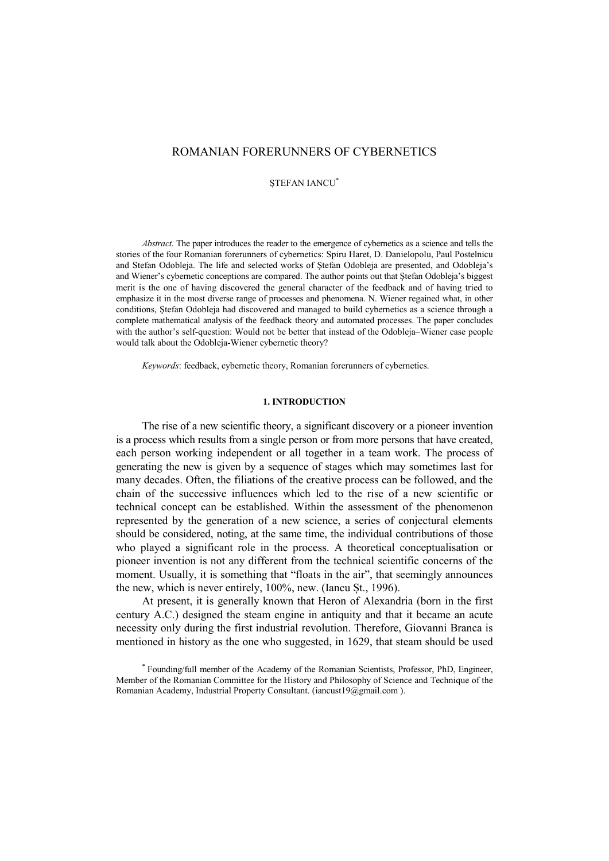# ROMANIAN FORERUNNERS OF CYBERNETICS

ȘTEFAN IANCU\*

*Abstract*. The paper introduces the reader to the emergence of cybernetics as a science and tells the stories of the four Romanian forerunners of cybernetics: Spiru Haret, D. Danielopolu, Paul Postelnicu and Stefan Odobleja. The life and selected works of Ştefan Odobleja are presented, and Odobleja's and Wiener's cybernetic conceptions are compared. The author points out that Ştefan Odobleja's biggest merit is the one of having discovered the general character of the feedback and of having tried to emphasize it in the most diverse range of processes and phenomena. N. Wiener regained what, in other conditions, Ştefan Odobleja had discovered and managed to build cybernetics as a science through a complete mathematical analysis of the feedback theory and automated processes. The paper concludes with the author's self-question: Would not be better that instead of the Odobleja–Wiener case people would talk about the Odobleja-Wiener cybernetic theory?

*Keywords*: feedback, cybernetic theory, Romanian forerunners of cybernetics.

#### **1. INTRODUCTION**

The rise of a new scientific theory, a significant discovery or a pioneer invention is a process which results from a single person or from more persons that have created, each person working independent or all together in a team work. The process of generating the new is given by a sequence of stages which may sometimes last for many decades. Often, the filiations of the creative process can be followed, and the chain of the successive influences which led to the rise of a new scientific or technical concept can be established. Within the assessment of the phenomenon represented by the generation of a new science, a series of conjectural elements should be considered, noting, at the same time, the individual contributions of those who played a significant role in the process. A theoretical conceptualisation or pioneer invention is not any different from the technical scientific concerns of the moment. Usually, it is something that "floats in the air", that seemingly announces the new, which is never entirely, 100%, new. (Iancu Șt., 1996).

At present, it is generally known that Heron of Alexandria (born in the first century A.C.) designed the steam engine in antiquity and that it became an acute necessity only during the first industrial revolution. Therefore, Giovanni Branca is mentioned in history as the one who suggested, in 1629, that steam should be used

<sup>\*</sup> Founding/full member of the Academy of the Romanian Scientists, Professor, PhD, Engineer, Member of the Romanian Committee for the History and Philosophy of Science and Technique of the Romanian Academy, Industrial Property Consultant. (iancust19@gmail.com ).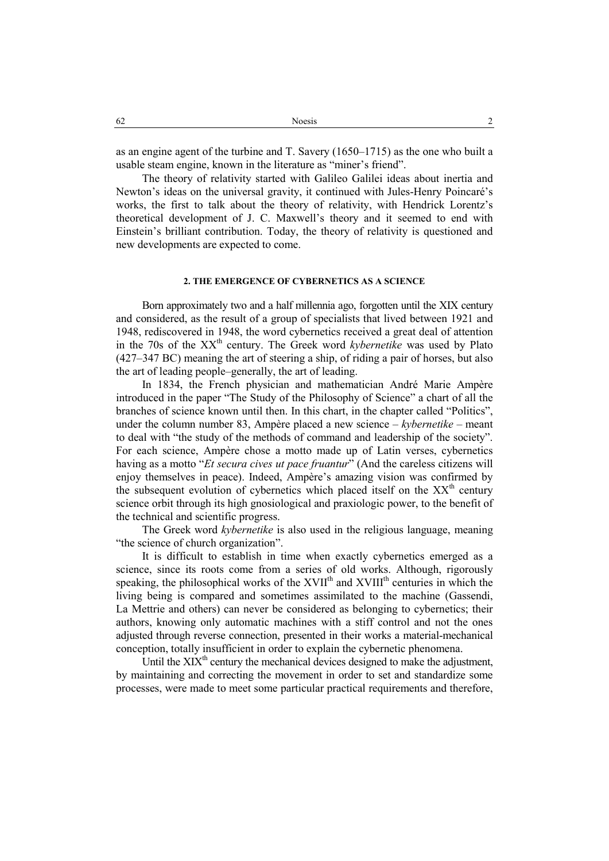as an engine agent of the turbine and T. Savery (1650–1715) as the one who built a usable steam engine, known in the literature as "miner's friend".

The theory of relativity started with Galileo Galilei ideas about inertia and Newton's ideas on the universal gravity, it continued with Jules-Henry Poincaré's works, the first to talk about the theory of relativity, with Hendrick Lorentz's theoretical development of J. C. Maxwell's theory and it seemed to end with Einstein's brilliant contribution. Today, the theory of relativity is questioned and new developments are expected to come.

# **2. THE EMERGENCE OF CYBERNETICS AS A SCIENCE**

Born approximately two and a half millennia ago, forgotten until the XIX century and considered, as the result of a group of specialists that lived between 1921 and 1948, rediscovered in 1948, the word cybernetics received a great deal of attention in the 70s of the XX<sup>th</sup> century. The Greek word *kybernetike* was used by Plato (427–347 BC) meaning the art of steering a ship, of riding a pair of horses, but also the art of leading people–generally, the art of leading.

In 1834, the French physician and mathematician André Marie Ampère introduced in the paper "The Study of the Philosophy of Science" a chart of all the branches of science known until then. In this chart, in the chapter called "Politics", under the column number 83, Ampère placed a new science – *kybernetike* – meant to deal with "the study of the methods of command and leadership of the society". For each science, Ampère chose a motto made up of Latin verses, cybernetics having as a motto "*Et secura cives ut pace fruantur*" (And the careless citizens will enjoy themselves in peace). Indeed, Ampère's amazing vision was confirmed by the subsequent evolution of cybernetics which placed itself on the  $XX<sup>th</sup>$  century science orbit through its high gnosiological and praxiologic power, to the benefit of the technical and scientific progress.

The Greek word *kybernetike* is also used in the religious language, meaning "the science of church organization".

It is difficult to establish in time when exactly cybernetics emerged as a science, since its roots come from a series of old works. Although, rigorously speaking, the philosophical works of the XVII<sup>th</sup> and XVIII<sup>th</sup> centuries in which the living being is compared and sometimes assimilated to the machine (Gassendi, La Mettrie and others) can never be considered as belonging to cybernetics; their authors, knowing only automatic machines with a stiff control and not the ones adjusted through reverse connection, presented in their works a material-mechanical conception, totally insufficient in order to explain the cybernetic phenomena.

Until the  $XIX<sup>th</sup>$  century the mechanical devices designed to make the adjustment, by maintaining and correcting the movement in order to set and standardize some processes, were made to meet some particular practical requirements and therefore,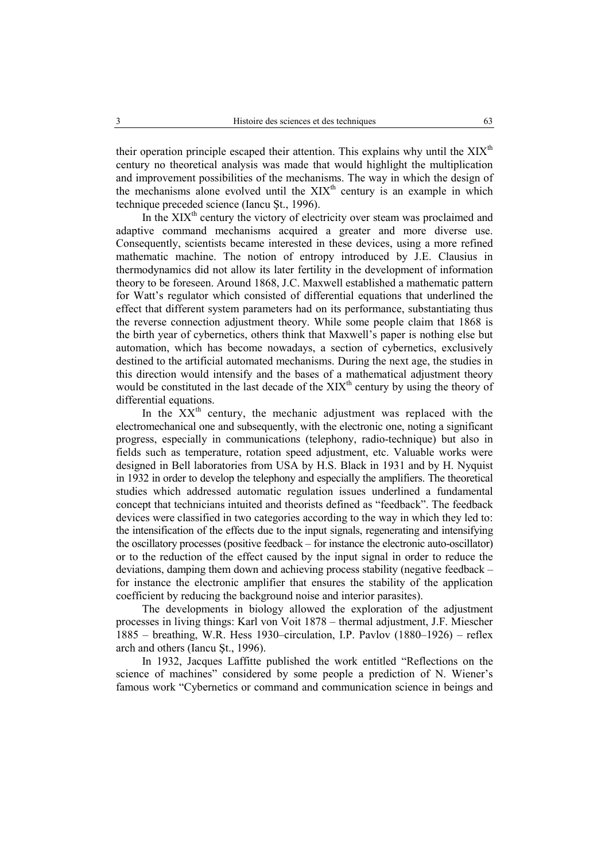their operation principle escaped their attention. This explains why until the  $XIX<sup>th</sup>$ century no theoretical analysis was made that would highlight the multiplication and improvement possibilities of the mechanisms. The way in which the design of the mechanisms alone evolved until the  $XIX<sup>th</sup>$  century is an example in which technique preceded science (Iancu Şt., 1996).

In the  $XIX<sup>th</sup>$  century the victory of electricity over steam was proclaimed and adaptive command mechanisms acquired a greater and more diverse use. Consequently, scientists became interested in these devices, using a more refined mathematic machine. The notion of entropy introduced by J.E. Clausius in thermodynamics did not allow its later fertility in the development of information theory to be foreseen. Around 1868, J.C. Maxwell established a mathematic pattern for Watt's regulator which consisted of differential equations that underlined the effect that different system parameters had on its performance, substantiating thus the reverse connection adjustment theory. While some people claim that 1868 is the birth year of cybernetics, others think that Maxwell's paper is nothing else but automation, which has become nowadays, a section of cybernetics, exclusively destined to the artificial automated mechanisms. During the next age, the studies in this direction would intensify and the bases of a mathematical adjustment theory would be constituted in the last decade of the  $XIX<sup>th</sup>$  century by using the theory of differential equations.

In the  $XX<sup>th</sup>$  century, the mechanic adjustment was replaced with the electromechanical one and subsequently, with the electronic one, noting a significant progress, especially in communications (telephony, radio-technique) but also in fields such as temperature, rotation speed adjustment, etc. Valuable works were designed in Bell laboratories from USA by H.S. Black in 1931 and by H. Nyquist in 1932 in order to develop the telephony and especially the amplifiers. The theoretical studies which addressed automatic regulation issues underlined a fundamental concept that technicians intuited and theorists defined as "feedback". The feedback devices were classified in two categories according to the way in which they led to: the intensification of the effects due to the input signals, regenerating and intensifying the oscillatory processes (positive feedback – for instance the electronic auto-oscillator) or to the reduction of the effect caused by the input signal in order to reduce the deviations, damping them down and achieving process stability (negative feedback – for instance the electronic amplifier that ensures the stability of the application coefficient by reducing the background noise and interior parasites).

The developments in biology allowed the exploration of the adjustment processes in living things: Karl von Voit 1878 – thermal adjustment, J.F. Miescher 1885 – breathing, W.R. Hess 1930–circulation, I.P. Pavlov (1880–1926) – reflex arch and others (Iancu Şt., 1996).

In 1932, Jacques Laffitte published the work entitled "Reflections on the science of machines" considered by some people a prediction of N. Wiener's famous work "Cybernetics or command and communication science in beings and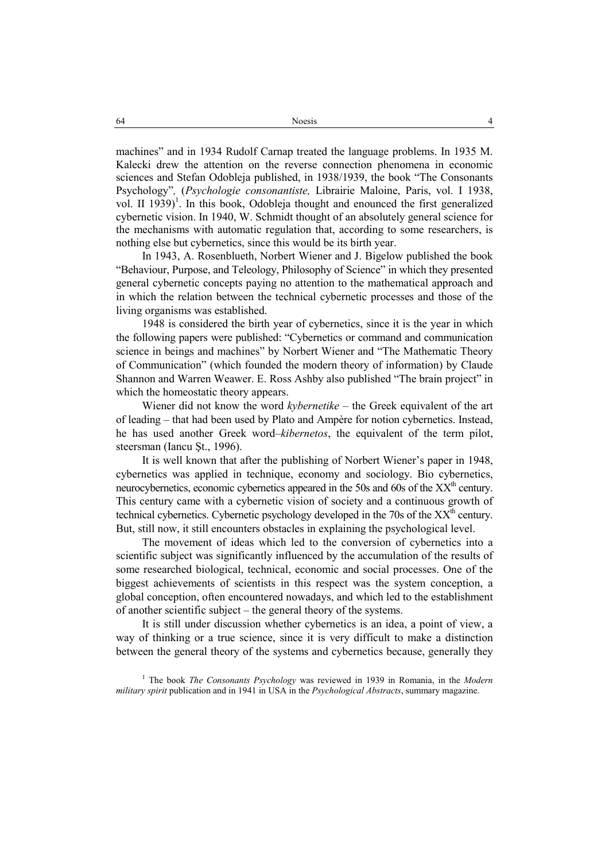machines" and in 1934 Rudolf Carnap treated the language problems. In 1935 M. Kalecki drew the attention on the reverse connection phenomena in economic sciences and Stefan Odobleja published, in 1938/1939, the book "The Consonants Psychology"*,* (*Psychologie consonantiste,* Librairie Maloine, Paris, vol. I 1938, vol. II  $1939$ <sup>1</sup>. In this book, Odobleja thought and enounced the first generalized cybernetic vision. In 1940, W. Schmidt thought of an absolutely general science for the mechanisms with automatic regulation that, according to some researchers, is nothing else but cybernetics, since this would be its birth year.

In 1943, A. Rosenblueth, Norbert Wiener and J. Bigelow published the book "Behaviour, Purpose, and Teleology, Philosophy of Science" in which they presented general cybernetic concepts paying no attention to the mathematical approach and in which the relation between the technical cybernetic processes and those of the living organisms was established.

1948 is considered the birth year of cybernetics, since it is the year in which the following papers were published: "Cybernetics or command and communication science in beings and machines" by Norbert Wiener and "The Mathematic Theory of Communication" (which founded the modern theory of information) by Claude Shannon and Warren Weawer. E. Ross Ashby also published "The brain project" in which the homeostatic theory appears.

Wiener did not know the word *kybernetike* – the Greek equivalent of the art of leading – that had been used by Plato and Ampère for notion cybernetics. Instead, he has used another Greek word–*kibernetos*, the equivalent of the term pilot, steersman (Iancu Şt., 1996).

It is well known that after the publishing of Norbert Wiener's paper in 1948, cybernetics was applied in technique, economy and sociology. Bio cybernetics, neurocybernetics, economic cybernetics appeared in the 50s and 60s of the  $XX<sup>th</sup>$  century. This century came with a cybernetic vision of society and a continuous growth of technical cybernetics. Cybernetic psychology developed in the 70s of the  $XX<sup>th</sup>$  century. But, still now, it still encounters obstacles in explaining the psychological level.

The movement of ideas which led to the conversion of cybernetics into a scientific subject was significantly influenced by the accumulation of the results of some researched biological, technical, economic and social processes. One of the biggest achievements of scientists in this respect was the system conception, a global conception, often encountered nowadays, and which led to the establishment of another scientific subject – the general theory of the systems.

It is still under discussion whether cybernetics is an idea, a point of view, a way of thinking or a true science, since it is very difficult to make a distinction between the general theory of the systems and cybernetics because, generally they

<sup>1</sup> The book *The Consonants Psychology* was reviewed in 1939 in Romania, in the *Modern military spirit* publication and in 1941 in USA in the *Psychological Abstracts*, summary magazine.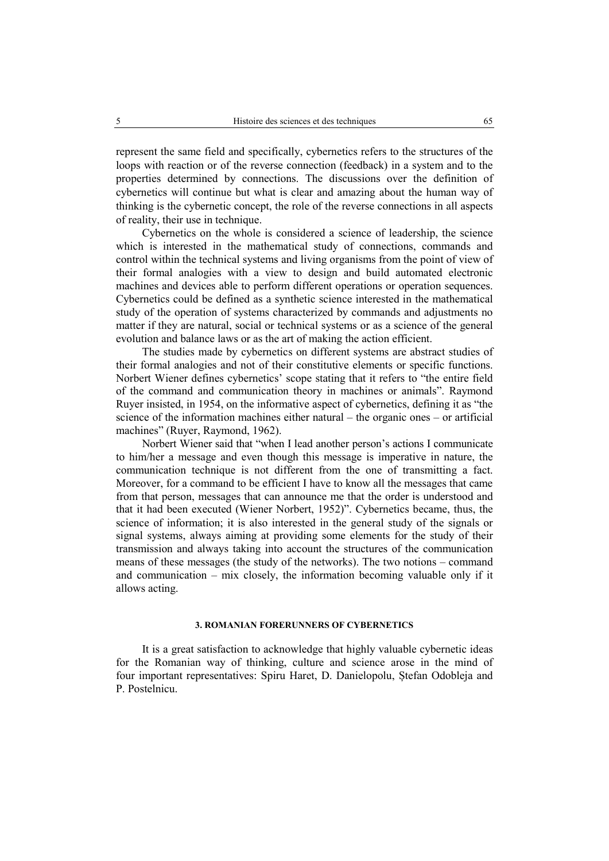represent the same field and specifically, cybernetics refers to the structures of the loops with reaction or of the reverse connection (feedback) in a system and to the properties determined by connections. The discussions over the definition of cybernetics will continue but what is clear and amazing about the human way of thinking is the cybernetic concept, the role of the reverse connections in all aspects of reality, their use in technique.

Cybernetics on the whole is considered a science of leadership, the science which is interested in the mathematical study of connections, commands and control within the technical systems and living organisms from the point of view of their formal analogies with a view to design and build automated electronic machines and devices able to perform different operations or operation sequences. Cybernetics could be defined as a synthetic science interested in the mathematical study of the operation of systems characterized by commands and adjustments no matter if they are natural, social or technical systems or as a science of the general evolution and balance laws or as the art of making the action efficient.

The studies made by cybernetics on different systems are abstract studies of their formal analogies and not of their constitutive elements or specific functions. Norbert Wiener defines cybernetics' scope stating that it refers to "the entire field of the command and communication theory in machines or animals". Raymond Ruyer insisted, in 1954, on the informative aspect of cybernetics, defining it as "the science of the information machines either natural – the organic ones – or artificial machines" (Ruyer, Raymond, 1962).

Norbert Wiener said that "when I lead another person's actions I communicate to him/her a message and even though this message is imperative in nature, the communication technique is not different from the one of transmitting a fact. Moreover, for a command to be efficient I have to know all the messages that came from that person, messages that can announce me that the order is understood and that it had been executed (Wiener Norbert, 1952)". Cybernetics became, thus, the science of information; it is also interested in the general study of the signals or signal systems, always aiming at providing some elements for the study of their transmission and always taking into account the structures of the communication means of these messages (the study of the networks). The two notions – command and communication – mix closely, the information becoming valuable only if it allows acting.

#### **3. ROMANIAN FORERUNNERS OF CYBERNETICS**

It is a great satisfaction to acknowledge that highly valuable cybernetic ideas for the Romanian way of thinking, culture and science arose in the mind of four important representatives: Spiru Haret, D. Danielopolu, Ștefan Odobleja and P. Postelnicu.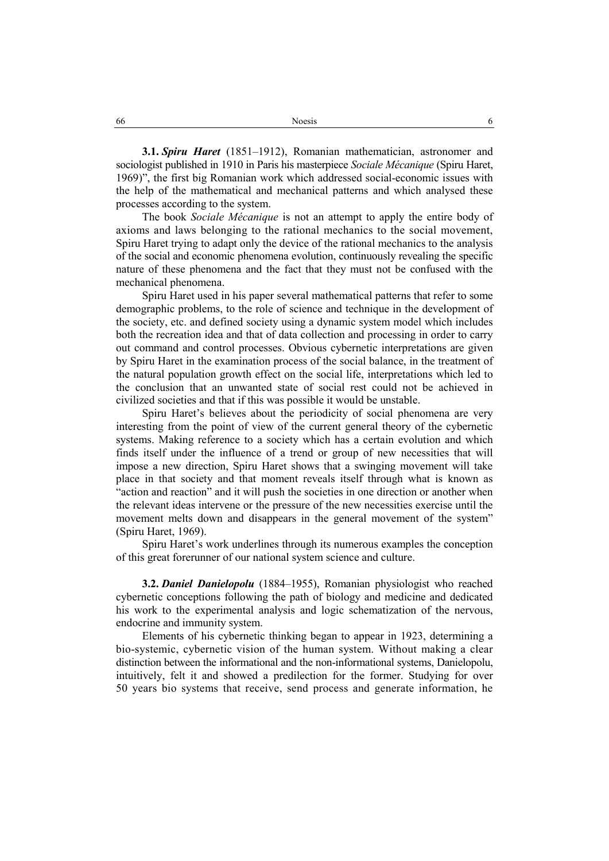**3.1.** *Spiru Haret* (1851–1912), Romanian mathematician, astronomer and sociologist published in 1910 in Paris his masterpiece *Sociale Mécanique* (Spiru Haret, 1969)", the first big Romanian work which addressed social-economic issues with the help of the mathematical and mechanical patterns and which analysed these processes according to the system.

The book *Sociale Mécanique* is not an attempt to apply the entire body of axioms and laws belonging to the rational mechanics to the social movement, Spiru Haret trying to adapt only the device of the rational mechanics to the analysis of the social and economic phenomena evolution, continuously revealing the specific nature of these phenomena and the fact that they must not be confused with the mechanical phenomena.

Spiru Haret used in his paper several mathematical patterns that refer to some demographic problems, to the role of science and technique in the development of the society, etc. and defined society using a dynamic system model which includes both the recreation idea and that of data collection and processing in order to carry out command and control processes. Obvious cybernetic interpretations are given by Spiru Haret in the examination process of the social balance, in the treatment of the natural population growth effect on the social life, interpretations which led to the conclusion that an unwanted state of social rest could not be achieved in civilized societies and that if this was possible it would be unstable.

Spiru Haret's believes about the periodicity of social phenomena are very interesting from the point of view of the current general theory of the cybernetic systems. Making reference to a society which has a certain evolution and which finds itself under the influence of a trend or group of new necessities that will impose a new direction, Spiru Haret shows that a swinging movement will take place in that society and that moment reveals itself through what is known as "action and reaction" and it will push the societies in one direction or another when the relevant ideas intervene or the pressure of the new necessities exercise until the movement melts down and disappears in the general movement of the system" (Spiru Haret, 1969).

Spiru Haret's work underlines through its numerous examples the conception of this great forerunner of our national system science and culture.

**3.2.** *Daniel Danielopolu* (1884–1955), Romanian physiologist who reached cybernetic conceptions following the path of biology and medicine and dedicated his work to the experimental analysis and logic schematization of the nervous, endocrine and immunity system.

Elements of his cybernetic thinking began to appear in 1923, determining a bio-systemic, cybernetic vision of the human system. Without making a clear distinction between the informational and the non-informational systems, Danielopolu, intuitively, felt it and showed a predilection for the former. Studying for over 50 years bio systems that receive, send process and generate information, he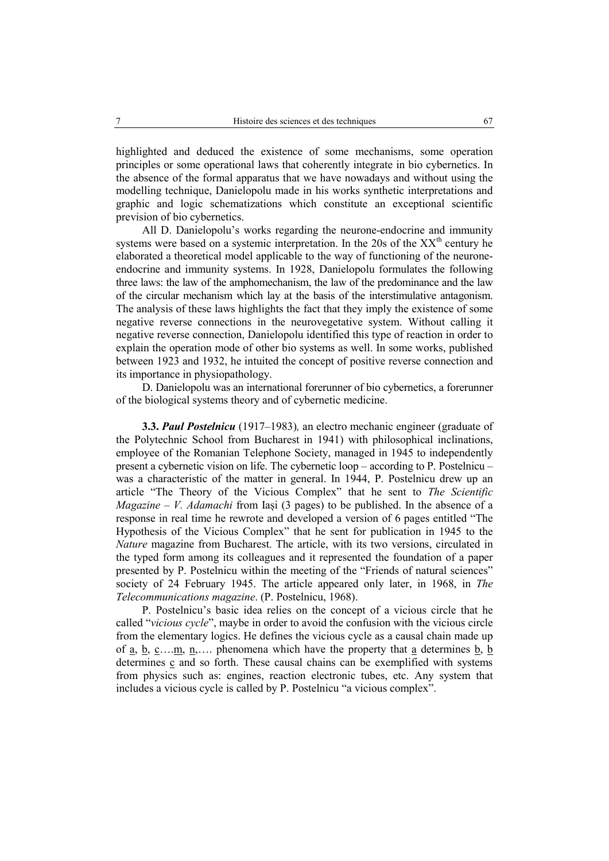highlighted and deduced the existence of some mechanisms, some operation principles or some operational laws that coherently integrate in bio cybernetics. In the absence of the formal apparatus that we have nowadays and without using the modelling technique, Danielopolu made in his works synthetic interpretations and graphic and logic schematizations which constitute an exceptional scientific prevision of bio cybernetics.

All D. Danielopolu's works regarding the neurone-endocrine and immunity systems were based on a systemic interpretation. In the 20s of the  $XX<sup>th</sup>$  century he elaborated a theoretical model applicable to the way of functioning of the neuroneendocrine and immunity systems. In 1928, Danielopolu formulates the following three laws: the law of the amphomechanism, the law of the predominance and the law of the circular mechanism which lay at the basis of the interstimulative antagonism. The analysis of these laws highlights the fact that they imply the existence of some negative reverse connections in the neurovegetative system. Without calling it negative reverse connection, Danielopolu identified this type of reaction in order to explain the operation mode of other bio systems as well. In some works, published between 1923 and 1932, he intuited the concept of positive reverse connection and its importance in physiopathology.

D. Danielopolu was an international forerunner of bio cybernetics, a forerunner of the biological systems theory and of cybernetic medicine.

**3.3.** *Paul Postelnicu* (1917–1983)*,* an electro mechanic engineer (graduate of the Polytechnic School from Bucharest in 1941) with philosophical inclinations, employee of the Romanian Telephone Society, managed in 1945 to independently present a cybernetic vision on life. The cybernetic loop – according to P. Postelnicu – was a characteristic of the matter in general. In 1944, P. Postelnicu drew up an article "The Theory of the Vicious Complex" that he sent to *The Scientific Magazine – V. Adamachi* from Iași (3 pages) to be published. In the absence of a response in real time he rewrote and developed a version of 6 pages entitled "The Hypothesis of the Vicious Complex" that he sent for publication in 1945 to the *Nature* magazine from Bucharest. The article, with its two versions, circulated in the typed form among its colleagues and it represented the foundation of a paper presented by P. Postelnicu within the meeting of the "Friends of natural sciences" society of 24 February 1945. The article appeared only later, in 1968, in *The Telecommunications magazine*. (P. Postelnicu, 1968).

P. Postelnicu's basic idea relies on the concept of a vicious circle that he called "*vicious cycle*", maybe in order to avoid the confusion with the vicious circle from the elementary logics. He defines the vicious cycle as a causal chain made up of <u>a</u>, <u>b</u>, <u>c</u>….<u>m</u>, <u>n</u>,.... phenomena which have the property that <u>a</u> determines <u>b</u>, **b** determines  $\mathbf c$  and so forth. These causal chains can be exemplified with systems from physics such as: engines, reaction electronic tubes, etc. Any system that includes a vicious cycle is called by P. Postelnicu "a vicious complex".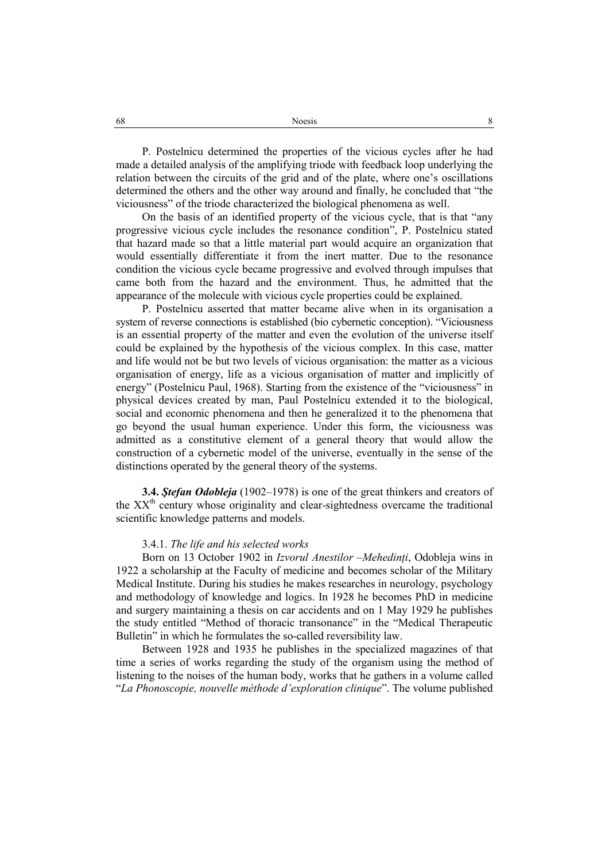P. Postelnicu determined the properties of the vicious cycles after he had made a detailed analysis of the amplifying triode with feedback loop underlying the relation between the circuits of the grid and of the plate, where one's oscillations determined the others and the other way around and finally, he concluded that "the viciousness" of the triode characterized the biological phenomena as well.

On the basis of an identified property of the vicious cycle, that is that "any progressive vicious cycle includes the resonance condition", P. Postelnicu stated that hazard made so that a little material part would acquire an organization that would essentially differentiate it from the inert matter. Due to the resonance condition the vicious cycle became progressive and evolved through impulses that came both from the hazard and the environment. Thus, he admitted that the appearance of the molecule with vicious cycle properties could be explained.

P. Postelnicu asserted that matter became alive when in its organisation a system of reverse connections is established (bio cybernetic conception). "Viciousness is an essential property of the matter and even the evolution of the universe itself could be explained by the hypothesis of the vicious complex. In this case, matter and life would not be but two levels of vicious organisation: the matter as a vicious organisation of energy, life as a vicious organisation of matter and implicitly of energy" (Postelnicu Paul, 1968). Starting from the existence of the "viciousness" in physical devices created by man, Paul Postelnicu extended it to the biological, social and economic phenomena and then he generalized it to the phenomena that go beyond the usual human experience. Under this form, the viciousness was admitted as a constitutive element of a general theory that would allow the construction of a cybernetic model of the universe, eventually in the sense of the distinctions operated by the general theory of the systems.

**3.4.** *Ştefan Odobleja* (1902–1978) is one of the great thinkers and creators of the  $XX<sup>th</sup>$  century whose originality and clear-sightedness overcame the traditional scientific knowledge patterns and models.

# 3.4.1. *The life and his selected works*

Born on 13 October 1902 in *Izvorul Anestilor –Mehedinți*, Odobleja wins in 1922 a scholarship at the Faculty of medicine and becomes scholar of the Military Medical Institute. During his studies he makes researches in neurology, psychology and methodology of knowledge and logics. In 1928 he becomes PhD in medicine and surgery maintaining a thesis on car accidents and on 1 May 1929 he publishes the study entitled "Method of thoracic transonance" in the "Medical Therapeutic Bulletin" in which he formulates the so-called reversibility law.

Between 1928 and 1935 he publishes in the specialized magazines of that time a series of works regarding the study of the organism using the method of listening to the noises of the human body, works that he gathers in a volume called "*La Phonoscopie, nouvelle méthode d'exploration clinique*". The volume published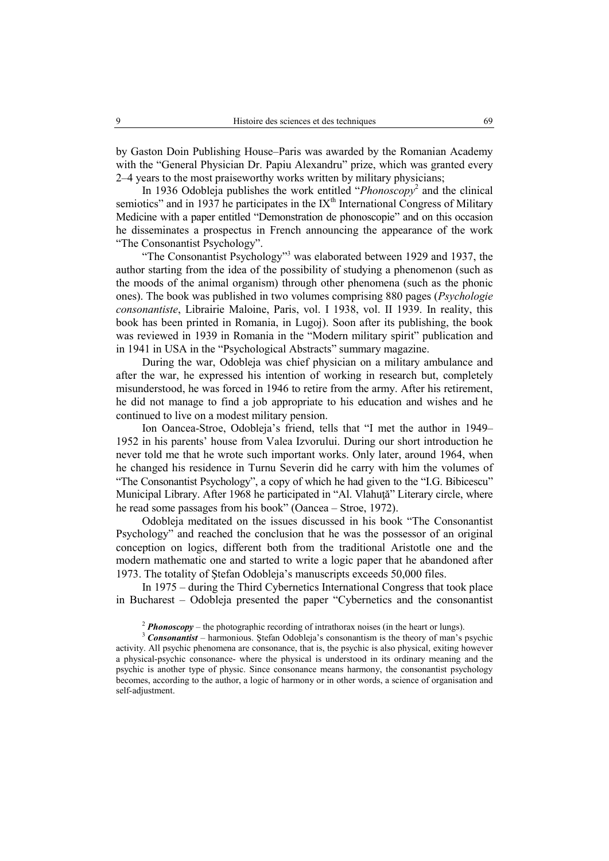by Gaston Doin Publishing House–Paris was awarded by the Romanian Academy with the "General Physician Dr. Papiu Alexandru" prize, which was granted every 2–4 years to the most praiseworthy works written by military physicians;

In 1936 Odobleja publishes the work entitled "*Phonoscopy*<sup>2</sup> and the clinical semiotics" and in 1937 he participates in the  $IX<sup>th</sup>$  International Congress of Military Medicine with a paper entitled "Demonstration de phonoscopie" and on this occasion he disseminates a prospectus in French announcing the appearance of the work "The Consonantist Psychology".

"The Consonantist Psychology"<sup>3</sup> was elaborated between 1929 and 1937, the author starting from the idea of the possibility of studying a phenomenon (such as the moods of the animal organism) through other phenomena (such as the phonic ones). The book was published in two volumes comprising 880 pages (*Psychologie consonantiste*, Librairie Maloine, Paris, vol. I 1938, vol. II 1939. In reality, this book has been printed in Romania, in Lugoj). Soon after its publishing, the book was reviewed in 1939 in Romania in the "Modern military spirit" publication and in 1941 in USA in the "Psychological Abstracts" summary magazine.

During the war, Odobleja was chief physician on a military ambulance and after the war, he expressed his intention of working in research but, completely misunderstood, he was forced in 1946 to retire from the army. After his retirement, he did not manage to find a job appropriate to his education and wishes and he continued to live on a modest military pension.

Ion Oancea-Stroe, Odobleja's friend, tells that "I met the author in 1949– 1952 in his parents' house from Valea Izvorului. During our short introduction he never told me that he wrote such important works. Only later, around 1964, when he changed his residence in Turnu Severin did he carry with him the volumes of "The Consonantist Psychology", a copy of which he had given to the "I.G. Bibicescu" Municipal Library. After 1968 he participated in "Al. Vlahuţă" Literary circle, where he read some passages from his book" (Oancea – Stroe, 1972).

Odobleja meditated on the issues discussed in his book "The Consonantist Psychology" and reached the conclusion that he was the possessor of an original conception on logics, different both from the traditional Aristotle one and the modern mathematic one and started to write a logic paper that he abandoned after 1973. The totality of Ştefan Odobleja's manuscripts exceeds 50,000 files.

In 1975 – during the Third Cybernetics International Congress that took place in Bucharest – Odobleja presented the paper "Cybernetics and the consonantist

<sup>2</sup> *Phonoscopy* – the photographic recording of intrathorax noises (in the heart or lungs).<br><sup>3</sup> *Consonantist* – harmonious. Ștefan Odobleja's consonantism is the theory of man's psychic activity. All psychic phenomena are consonance, that is, the psychic is also physical, exiting however a physical-psychic consonance- where the physical is understood in its ordinary meaning and the psychic is another type of physic. Since consonance means harmony, the consonantist psychology becomes, according to the author, a logic of harmony or in other words, a science of organisation and self-adjustment.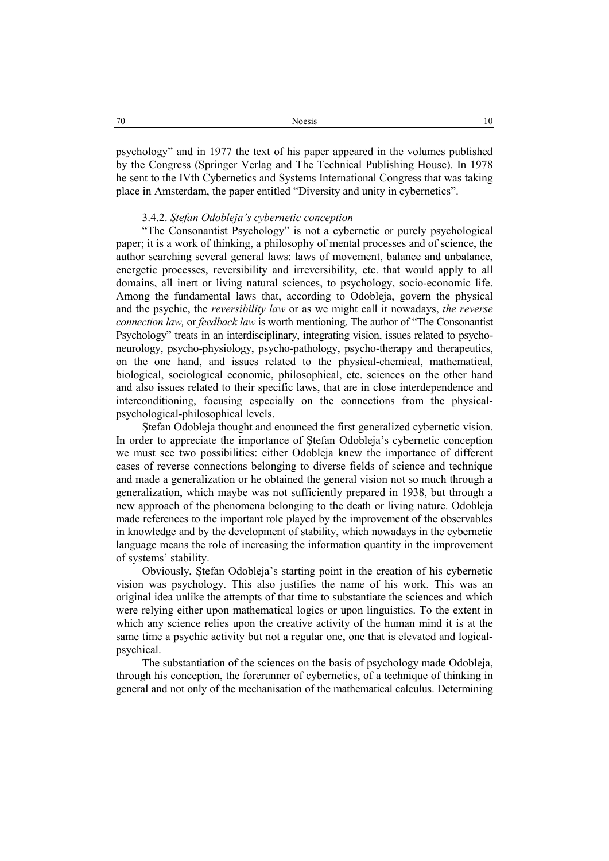psychology" and in 1977 the text of his paper appeared in the volumes published by the Congress (Springer Verlag and The Technical Publishing House). In 1978 he sent to the IVth Cybernetics and Systems International Congress that was taking place in Amsterdam, the paper entitled "Diversity and unity in cybernetics".

# 3.4.2. *Ştefan Odobleja's cybernetic conception*

"The Consonantist Psychology" is not a cybernetic or purely psychological paper; it is a work of thinking, a philosophy of mental processes and of science, the author searching several general laws: laws of movement, balance and unbalance, energetic processes, reversibility and irreversibility, etc. that would apply to all domains, all inert or living natural sciences, to psychology, socio-economic life. Among the fundamental laws that, according to Odobleja, govern the physical and the psychic, the *reversibility law* or as we might call it nowadays, *the reverse connection law,* or *feedback law* is worth mentioning. The author of "The Consonantist Psychology" treats in an interdisciplinary, integrating vision, issues related to psychoneurology, psycho-physiology, psycho-pathology, psycho-therapy and therapeutics, on the one hand, and issues related to the physical-chemical, mathematical, biological, sociological economic, philosophical, etc. sciences on the other hand and also issues related to their specific laws, that are in close interdependence and interconditioning, focusing especially on the connections from the physicalpsychological-philosophical levels.

Ştefan Odobleja thought and enounced the first generalized cybernetic vision. In order to appreciate the importance of Ştefan Odobleja's cybernetic conception we must see two possibilities: either Odobleja knew the importance of different cases of reverse connections belonging to diverse fields of science and technique and made a generalization or he obtained the general vision not so much through a generalization, which maybe was not sufficiently prepared in 1938, but through a new approach of the phenomena belonging to the death or living nature. Odobleja made references to the important role played by the improvement of the observables in knowledge and by the development of stability, which nowadays in the cybernetic language means the role of increasing the information quantity in the improvement of systems' stability.

Obviously, Ștefan Odobleja's starting point in the creation of his cybernetic vision was psychology. This also justifies the name of his work. This was an original idea unlike the attempts of that time to substantiate the sciences and which were relying either upon mathematical logics or upon linguistics. To the extent in which any science relies upon the creative activity of the human mind it is at the same time a psychic activity but not a regular one, one that is elevated and logicalpsychical.

The substantiation of the sciences on the basis of psychology made Odobleja, through his conception, the forerunner of cybernetics, of a technique of thinking in general and not only of the mechanisation of the mathematical calculus. Determining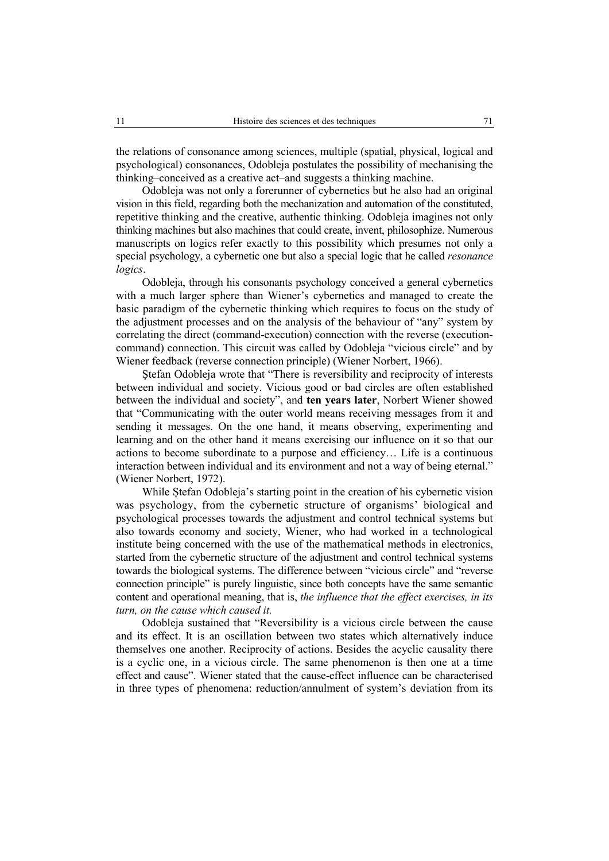the relations of consonance among sciences, multiple (spatial, physical, logical and psychological) consonances, Odobleja postulates the possibility of mechanising the thinking–conceived as a creative act–and suggests a thinking machine.

Odobleja was not only a forerunner of cybernetics but he also had an original vision in this field, regarding both the mechanization and automation of the constituted, repetitive thinking and the creative, authentic thinking. Odobleja imagines not only thinking machines but also machines that could create, invent, philosophize. Numerous manuscripts on logics refer exactly to this possibility which presumes not only a special psychology, a cybernetic one but also a special logic that he called *resonance logics*.

Odobleja, through his consonants psychology conceived a general cybernetics with a much larger sphere than Wiener's cybernetics and managed to create the basic paradigm of the cybernetic thinking which requires to focus on the study of the adjustment processes and on the analysis of the behaviour of "any" system by correlating the direct (command-execution) connection with the reverse (executioncommand) connection. This circuit was called by Odobleja "vicious circle" and by Wiener feedback (reverse connection principle) (Wiener Norbert, 1966).

Ştefan Odobleja wrote that "There is reversibility and reciprocity of interests between individual and society. Vicious good or bad circles are often established between the individual and society", and **ten years later**, Norbert Wiener showed that "Communicating with the outer world means receiving messages from it and sending it messages. On the one hand, it means observing, experimenting and learning and on the other hand it means exercising our influence on it so that our actions to become subordinate to a purpose and efficiency… Life is a continuous interaction between individual and its environment and not a way of being eternal." (Wiener Norbert, 1972).

While Ștefan Odobleja's starting point in the creation of his cybernetic vision was psychology, from the cybernetic structure of organisms' biological and psychological processes towards the adjustment and control technical systems but also towards economy and society, Wiener, who had worked in a technological institute being concerned with the use of the mathematical methods in electronics, started from the cybernetic structure of the adjustment and control technical systems towards the biological systems. The difference between "vicious circle" and "reverse connection principle" is purely linguistic, since both concepts have the same semantic content and operational meaning, that is, *the influence that the effect exercises, in its turn, on the cause which caused it.* 

Odobleja sustained that "Reversibility is a vicious circle between the cause and its effect. It is an oscillation between two states which alternatively induce themselves one another. Reciprocity of actions. Besides the acyclic causality there is a cyclic one, in a vicious circle. The same phenomenon is then one at a time effect and cause". Wiener stated that the cause-effect influence can be characterised in three types of phenomena: reduction/annulment of system's deviation from its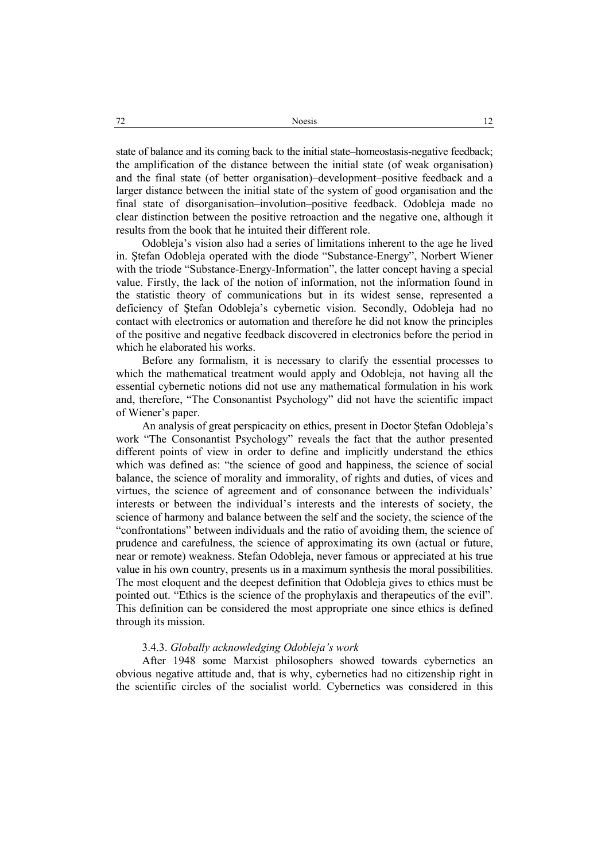state of balance and its coming back to the initial state–homeostasis-negative feedback; the amplification of the distance between the initial state (of weak organisation) and the final state (of better organisation)–development–positive feedback and a larger distance between the initial state of the system of good organisation and the final state of disorganisation–involution–positive feedback. Odobleja made no clear distinction between the positive retroaction and the negative one, although it results from the book that he intuited their different role.

Odobleja's vision also had a series of limitations inherent to the age he lived in. Ştefan Odobleja operated with the diode "Substance-Energy", Norbert Wiener with the triode "Substance-Energy-Information", the latter concept having a special value. Firstly, the lack of the notion of information, not the information found in the statistic theory of communications but in its widest sense, represented a deficiency of Ştefan Odobleja's cybernetic vision. Secondly, Odobleja had no contact with electronics or automation and therefore he did not know the principles of the positive and negative feedback discovered in electronics before the period in which he elaborated his works.

Before any formalism, it is necessary to clarify the essential processes to which the mathematical treatment would apply and Odobleja, not having all the essential cybernetic notions did not use any mathematical formulation in his work and, therefore, "The Consonantist Psychology" did not have the scientific impact of Wiener's paper.

An analysis of great perspicacity on ethics, present in Doctor Ştefan Odobleja's work "The Consonantist Psychology" reveals the fact that the author presented different points of view in order to define and implicitly understand the ethics which was defined as: "the science of good and happiness, the science of social balance, the science of morality and immorality, of rights and duties, of vices and virtues, the science of agreement and of consonance between the individuals' interests or between the individual's interests and the interests of society, the science of harmony and balance between the self and the society, the science of the "confrontations" between individuals and the ratio of avoiding them, the science of prudence and carefulness, the science of approximating its own (actual or future, near or remote) weakness. Stefan Odobleja, never famous or appreciated at his true value in his own country, presents us in a maximum synthesis the moral possibilities. The most eloquent and the deepest definition that Odobleja gives to ethics must be pointed out. "Ethics is the science of the prophylaxis and therapeutics of the evil". This definition can be considered the most appropriate one since ethics is defined through its mission.

# 3.4.3. *Globally acknowledging Odobleja's work*

After 1948 some Marxist philosophers showed towards cybernetics an obvious negative attitude and, that is why, cybernetics had no citizenship right in the scientific circles of the socialist world. Cybernetics was considered in this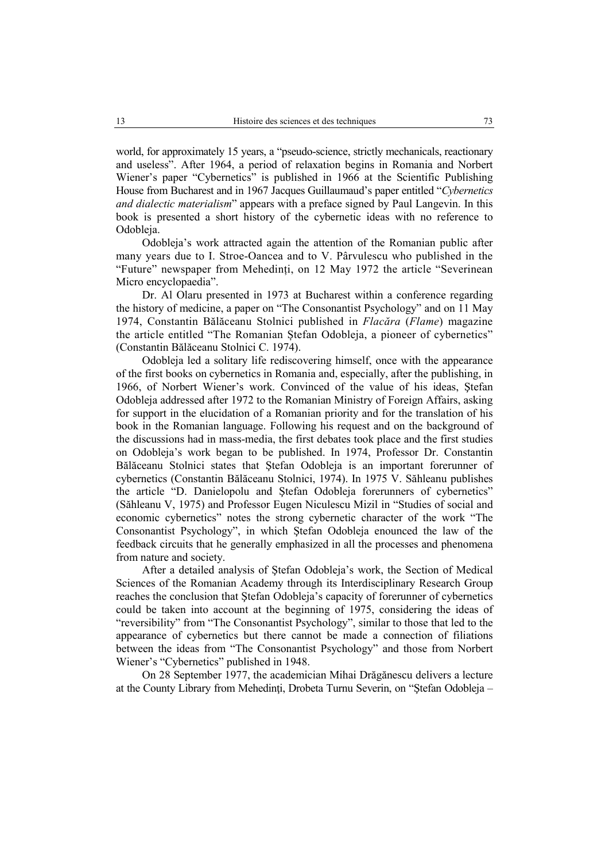world, for approximately 15 years, a "pseudo-science, strictly mechanicals, reactionary and useless". After 1964, a period of relaxation begins in Romania and Norbert Wiener's paper "Cybernetics" is published in 1966 at the Scientific Publishing House from Bucharest and in 1967 Jacques Guillaumaud's paper entitled "*Cybernetics and dialectic materialism*" appears with a preface signed by Paul Langevin. In this book is presented a short history of the cybernetic ideas with no reference to Odobleja.

Odobleja's work attracted again the attention of the Romanian public after many years due to I. Stroe-Oancea and to V. Pârvulescu who published in the "Future" newspaper from Mehedinți, on 12 May 1972 the article "Severinean Micro encyclopaedia".

Dr. Al Olaru presented in 1973 at Bucharest within a conference regarding the history of medicine, a paper on "The Consonantist Psychology" and on 11 May 1974, Constantin Bălăceanu Stolnici published in *Flacăra* (*Flame*) magazine the article entitled "The Romanian Ștefan Odobleja, a pioneer of cybernetics" (Constantin Bălăceanu Stolnici C. 1974).

Odobleja led a solitary life rediscovering himself, once with the appearance of the first books on cybernetics in Romania and, especially, after the publishing, in 1966, of Norbert Wiener's work. Convinced of the value of his ideas, Ştefan Odobleja addressed after 1972 to the Romanian Ministry of Foreign Affairs, asking for support in the elucidation of a Romanian priority and for the translation of his book in the Romanian language. Following his request and on the background of the discussions had in mass-media, the first debates took place and the first studies on Odobleja's work began to be published. In 1974, Professor Dr. Constantin Bălăceanu Stolnici states that Ştefan Odobleja is an important forerunner of cybernetics (Constantin Bălăceanu Stolnici, 1974). In 1975 V. Săhleanu publishes the article "D. Danielopolu and Ştefan Odobleja forerunners of cybernetics" (Săhleanu V, 1975) and Professor Eugen Niculescu Mizil in "Studies of social and economic cybernetics" notes the strong cybernetic character of the work "The Consonantist Psychology", in which Ştefan Odobleja enounced the law of the feedback circuits that he generally emphasized in all the processes and phenomena from nature and society.

After a detailed analysis of Ştefan Odobleja's work, the Section of Medical Sciences of the Romanian Academy through its Interdisciplinary Research Group reaches the conclusion that Ştefan Odobleja's capacity of forerunner of cybernetics could be taken into account at the beginning of 1975, considering the ideas of "reversibility" from "The Consonantist Psychology", similar to those that led to the appearance of cybernetics but there cannot be made a connection of filiations between the ideas from "The Consonantist Psychology" and those from Norbert Wiener's "Cybernetics" published in 1948.

On 28 September 1977, the academician Mihai Drăgănescu delivers a lecture at the County Library from Mehedinţi, Drobeta Turnu Severin, on "Ştefan Odobleja –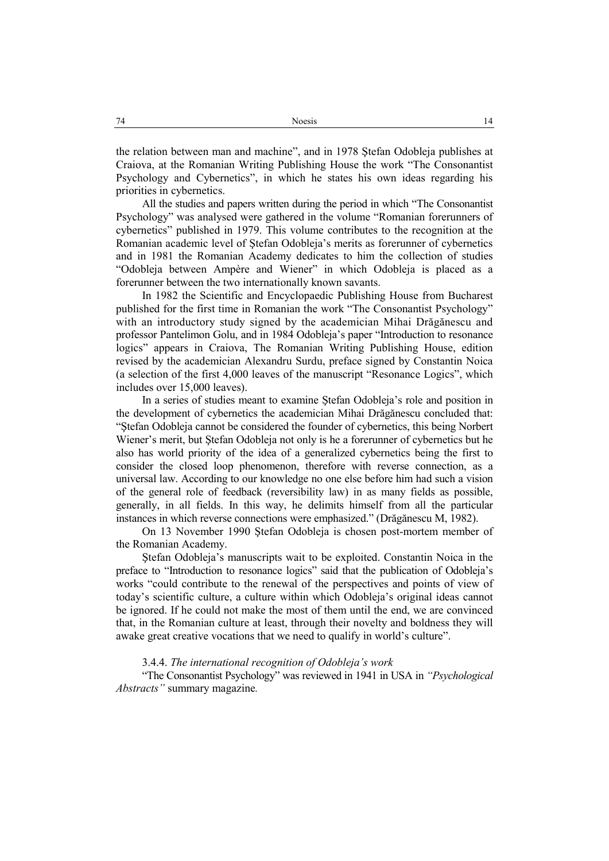the relation between man and machine", and in 1978 Ştefan Odobleja publishes at Craiova, at the Romanian Writing Publishing House the work "The Consonantist Psychology and Cybernetics", in which he states his own ideas regarding his priorities in cybernetics.

All the studies and papers written during the period in which "The Consonantist Psychology" was analysed were gathered in the volume "Romanian forerunners of cybernetics" published in 1979. This volume contributes to the recognition at the Romanian academic level of Ştefan Odobleja's merits as forerunner of cybernetics and in 1981 the Romanian Academy dedicates to him the collection of studies "Odobleja between Ampère and Wiener" in which Odobleja is placed as a forerunner between the two internationally known savants.

In 1982 the Scientific and Encyclopaedic Publishing House from Bucharest published for the first time in Romanian the work "The Consonantist Psychology" with an introductory study signed by the academician Mihai Drăgănescu and professor Pantelimon Golu, and in 1984 Odobleja's paper "Introduction to resonance logics" appears in Craiova, The Romanian Writing Publishing House, edition revised by the academician Alexandru Surdu, preface signed by Constantin Noica (a selection of the first 4,000 leaves of the manuscript "Resonance Logics", which includes over 15,000 leaves).

In a series of studies meant to examine Ştefan Odobleja's role and position in the development of cybernetics the academician Mihai Drăgănescu concluded that: "Ştefan Odobleja cannot be considered the founder of cybernetics, this being Norbert Wiener's merit, but Ştefan Odobleja not only is he a forerunner of cybernetics but he also has world priority of the idea of a generalized cybernetics being the first to consider the closed loop phenomenon, therefore with reverse connection, as a universal law. According to our knowledge no one else before him had such a vision of the general role of feedback (reversibility law) in as many fields as possible, generally, in all fields. In this way, he delimits himself from all the particular instances in which reverse connections were emphasized." (Drăgănescu M, 1982).

On 13 November 1990 Ştefan Odobleja is chosen post-mortem member of the Romanian Academy.

Ştefan Odobleja's manuscripts wait to be exploited. Constantin Noica in the preface to "Introduction to resonance logics" said that the publication of Odobleja's works "could contribute to the renewal of the perspectives and points of view of today's scientific culture, a culture within which Odobleja's original ideas cannot be ignored. If he could not make the most of them until the end, we are convinced that, in the Romanian culture at least, through their novelty and boldness they will awake great creative vocations that we need to qualify in world's culture".

3.4.4. *The international recognition of Odobleja's work* 

"The Consonantist Psychology" was reviewed in 1941 in USA in *"Psychological Abstracts"* summary magazine*.*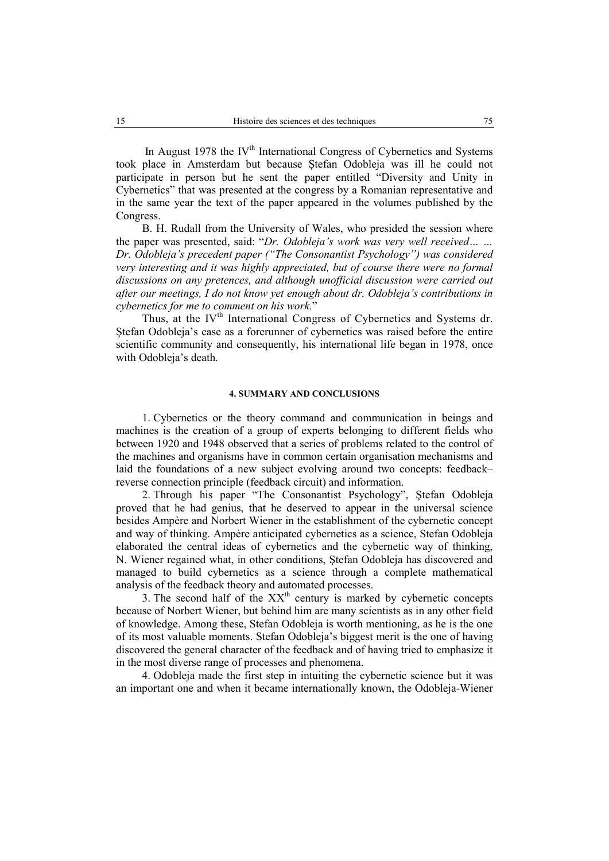In August 1978 the IV<sup>th</sup> International Congress of Cybernetics and Systems took place in Amsterdam but because Ştefan Odobleja was ill he could not participate in person but he sent the paper entitled "Diversity and Unity in Cybernetics" that was presented at the congress by a Romanian representative and in the same year the text of the paper appeared in the volumes published by the Congress.

B. H. Rudall from the University of Wales, who presided the session where the paper was presented, said: "*Dr. Odobleja's work was very well received… … Dr. Odobleja's precedent paper ("The Consonantist Psychology") was considered very interesting and it was highly appreciated, but of course there were no formal discussions on any pretences, and although unofficial discussion were carried out after our meetings, I do not know yet enough about dr. Odobleja's contributions in cybernetics for me to comment on his work.*"

Thus, at the IV<sup>th</sup> International Congress of Cybernetics and Systems dr. Ştefan Odobleja's case as a forerunner of cybernetics was raised before the entire scientific community and consequently, his international life began in 1978, once with Odobleja's death.

#### **4. SUMMARY AND CONCLUSIONS**

1. Cybernetics or the theory command and communication in beings and machines is the creation of a group of experts belonging to different fields who between 1920 and 1948 observed that a series of problems related to the control of the machines and organisms have in common certain organisation mechanisms and laid the foundations of a new subject evolving around two concepts: feedback– reverse connection principle (feedback circuit) and information.

2. Through his paper "The Consonantist Psychology", Ştefan Odobleja proved that he had genius, that he deserved to appear in the universal science besides Ampère and Norbert Wiener in the establishment of the cybernetic concept and way of thinking. Ampère anticipated cybernetics as a science, Stefan Odobleja elaborated the central ideas of cybernetics and the cybernetic way of thinking, N. Wiener regained what, in other conditions, Ştefan Odobleja has discovered and managed to build cybernetics as a science through a complete mathematical analysis of the feedback theory and automated processes.

3. The second half of the  $XX<sup>th</sup>$  century is marked by cybernetic concepts because of Norbert Wiener, but behind him are many scientists as in any other field of knowledge. Among these, Stefan Odobleja is worth mentioning, as he is the one of its most valuable moments. Stefan Odobleja's biggest merit is the one of having discovered the general character of the feedback and of having tried to emphasize it in the most diverse range of processes and phenomena.

4. Odobleja made the first step in intuiting the cybernetic science but it was an important one and when it became internationally known, the Odobleja-Wiener